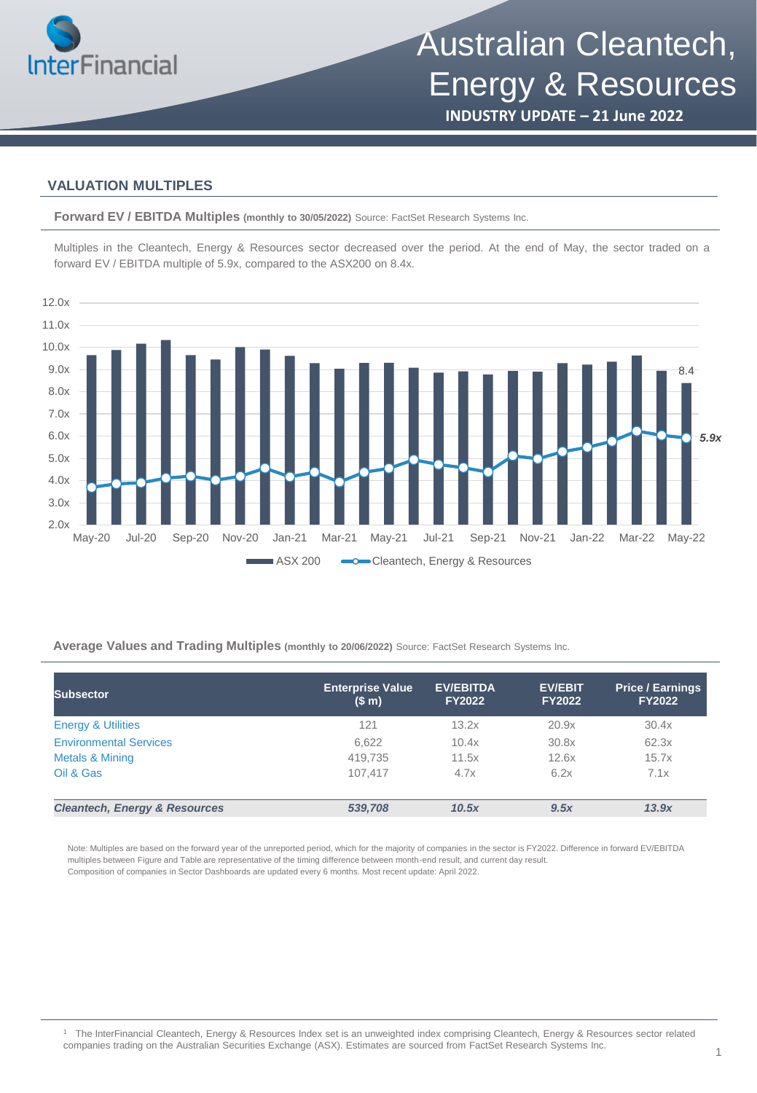

**INDUSTRY UPDATE – 21 June 2022**

### **VALUATION MULTIPLES**

**Forward EV / EBITDA Multiples (monthly to 30/05/2022)** Source: FactSet Research Systems Inc.

Multiples in the Cleantech, Energy & Resources sector decreased over the period. At the end of May, the sector traded on a forward EV / EBITDA multiple of 5.9x, compared to the ASX200 on 8.4x.



**Average Values and Trading Multiples (monthly to 20/06/2022)** Source: FactSet Research Systems Inc.

| <b>Subsector</b>                         | <b>Enterprise Value</b><br>(S <sub>m</sub> ) | <b>EV/EBITDA</b><br><b>FY2022</b> | <b>EV/EBIT</b><br><b>FY2022</b> | <b>Price / Earnings</b><br><b>FY2022</b> |
|------------------------------------------|----------------------------------------------|-----------------------------------|---------------------------------|------------------------------------------|
| <b>Energy &amp; Utilities</b>            | 121                                          | 13.2x                             | 20.9x                           | 30.4x                                    |
| <b>Environmental Services</b>            | 6,622                                        | 10.4x                             | 30.8x                           | 62.3x                                    |
| Metals & Mining                          | 419,735                                      | 11.5x                             | 12.6x                           | 15.7x                                    |
| Oil & Gas                                | 107.417                                      | 4.7x                              | 6.2x                            | 7.1x                                     |
| <b>Cleantech, Energy &amp; Resources</b> | 539,708                                      | 10.5x                             | 9.5x                            | 13.9x                                    |

Note: Multiples are based on the forward year of the unreported period, which for the majority of companies in the sector is FY2022. Difference in forward EV/EBITDA multiples between Figure and Table are representative of the timing difference between month-end result, and current day result. Composition of companies in Sector Dashboards are updated every 6 months. Most recent update: April 2022.

<sup>1</sup> The InterFinancial Cleantech, Energy & Resources Index set is an unweighted index comprising Cleantech, Energy & Resources sector related companies trading on the Australian Securities Exchange (ASX). Estimates are sourced from FactSet Research Systems Inc.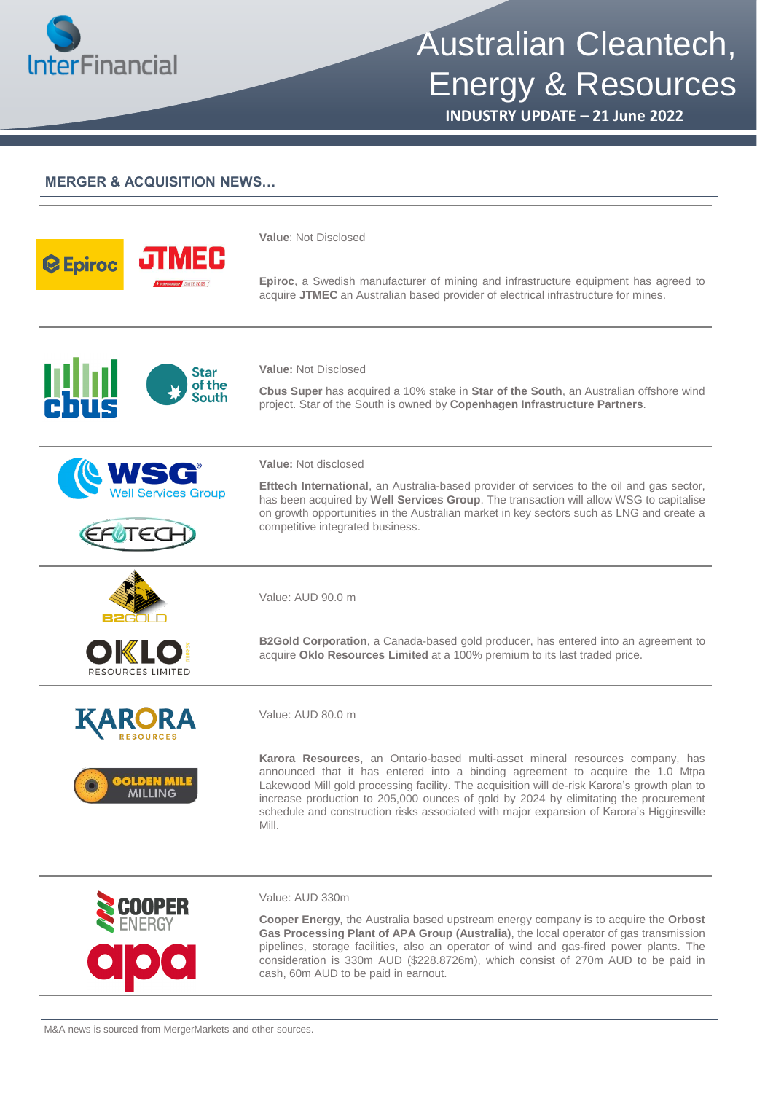

# Australian Cleantech, Energy & Resources

**INDUSTRY UPDATE – 21 June 2022**

## **MERGER & ACQUISITION NEWS…**

| <b>C</b> Epiroc<br><b>BUP</b> SINCE 2005 | Value: Not Disclosed<br><b>Epiroc</b> , a Swedish manufacturer of mining and infrastructure equipment has agreed to                                                                                                                                                                                                                                                                                                                                          |
|------------------------------------------|--------------------------------------------------------------------------------------------------------------------------------------------------------------------------------------------------------------------------------------------------------------------------------------------------------------------------------------------------------------------------------------------------------------------------------------------------------------|
|                                          | acquire JTMEC an Australian based provider of electrical infrastructure for mines.                                                                                                                                                                                                                                                                                                                                                                           |
| Star<br>of the<br>South                  | <b>Value: Not Disclosed</b><br>Cbus Super has acquired a 10% stake in Star of the South, an Australian offshore wind<br>project. Star of the South is owned by Copenhagen Infrastructure Partners.                                                                                                                                                                                                                                                           |
| <b>Services Group</b>                    | Value: Not disclosed<br><b>Efttech International</b> , an Australia-based provider of services to the oil and gas sector,<br>has been acquired by Well Services Group. The transaction will allow WSG to capitalise<br>on growth opportunities in the Australian market in key sectors such as LNG and create a<br>competitive integrated business.                                                                                                          |
|                                          | Value: AUD 90.0 m                                                                                                                                                                                                                                                                                                                                                                                                                                            |
| RESOURCES LIMITED                        | <b>B2Gold Corporation</b> , a Canada-based gold producer, has entered into an agreement to<br>acquire Oklo Resources Limited at a 100% premium to its last traded price.                                                                                                                                                                                                                                                                                     |
|                                          | Value: AUD 80.0 m                                                                                                                                                                                                                                                                                                                                                                                                                                            |
| GOLDEN MILE<br>MILLING                   | Karora Resources, an Ontario-based multi-asset mineral resources company, has<br>announced that it has entered into a binding agreement to acquire the 1.0 Mtpa<br>Lakewood Mill gold processing facility. The acquisition will de-risk Karora's growth plan to<br>increase production to 205,000 ounces of gold by 2024 by elimitating the procurement<br>schedule and construction risks associated with major expansion of Karora's Higginsville<br>Mill. |
|                                          | Value: AUD 330m<br>Cooper Energy, the Australia based upstream energy company is to acquire the Orbost                                                                                                                                                                                                                                                                                                                                                       |

**Gas Processing Plant of APA Group (Australia)**, the local operator of gas transmission pipelines, storage facilities, also an operator of wind and gas-fired power plants. The consideration is 330m AUD (\$228.8726m), which consist of 270m AUD to be paid in cash, 60m AUD to be paid in earnout.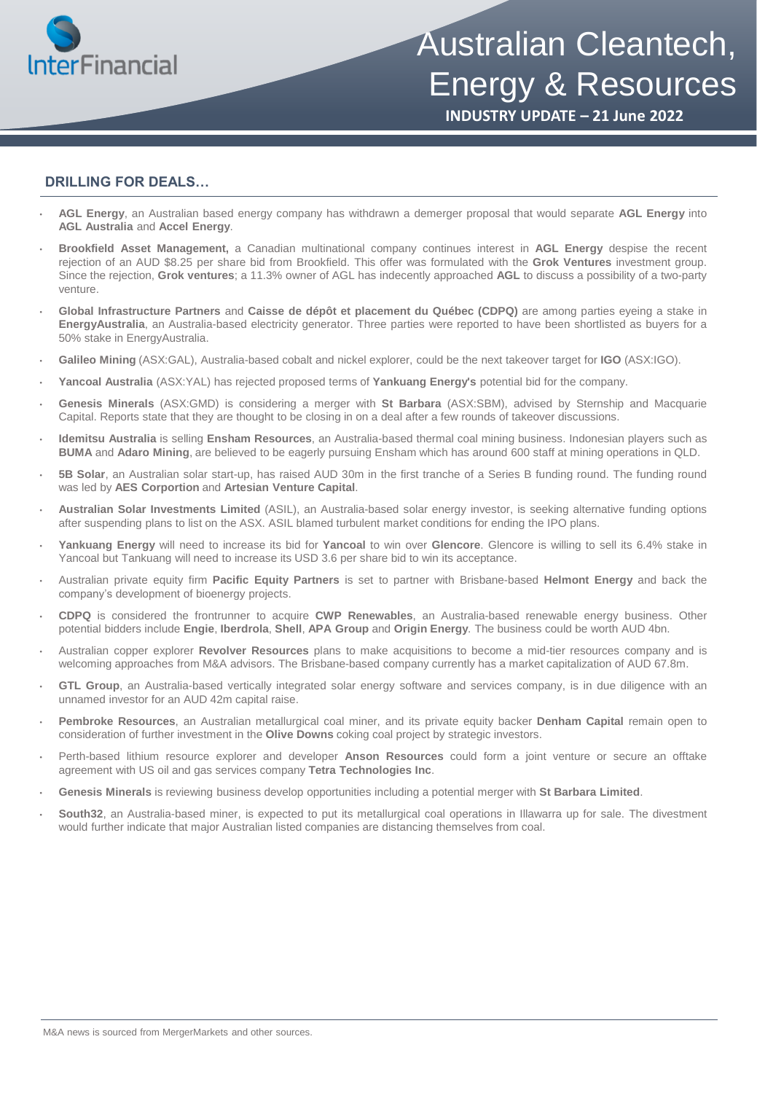

Australian Cleantech, Energy & Resources

**INDUSTRY UPDATE – 21 June 2022**

#### **DRILLING FOR DEALS…**

- **AGL Energy**, an Australian based energy company has withdrawn a demerger proposal that would separate **AGL Energy** into **AGL Australia** and **Accel Energy**.
- **Brookfield Asset Management,** a Canadian multinational company continues interest in **AGL Energy** despise the recent rejection of an AUD \$8.25 per share bid from Brookfield. This offer was formulated with the **Grok Ventures** investment group. Since the rejection, **Grok ventures**; a 11.3% owner of AGL has indecently approached **AGL** to discuss a possibility of a two-party venture.
- **Global Infrastructure Partners** and **Caisse de dépôt et placement du Québec (CDPQ)** are among parties eyeing a stake in **EnergyAustralia**, an Australia-based electricity generator. Three parties were reported to have been shortlisted as buyers for a 50% stake in EnergyAustralia.
- **Galileo Mining** (ASX:GAL), Australia-based cobalt and nickel explorer, could be the next takeover target for **IGO** (ASX:IGO).
- **Yancoal Australia** (ASX:YAL) has rejected proposed terms of **Yankuang Energy's** potential bid for the company.
- **Genesis Minerals** (ASX:GMD) is considering a merger with **St Barbara** (ASX:SBM), advised by Sternship and Macquarie Capital. Reports state that they are thought to be closing in on a deal after a few rounds of takeover discussions.
- **Idemitsu Australia** is selling **Ensham Resources**, an Australia-based thermal coal mining business. Indonesian players such as **BUMA** and **Adaro Mining**, are believed to be eagerly pursuing Ensham which has around 600 staff at mining operations in QLD.
- **5B Solar**, an Australian solar start-up, has raised AUD 30m in the first tranche of a Series B funding round. The funding round was led by **AES Corportion** and **Artesian Venture Capital**.
- **Australian Solar Investments Limited** (ASIL), an Australia-based solar energy investor, is seeking alternative funding options after suspending plans to list on the ASX. ASIL blamed turbulent market conditions for ending the IPO plans.
- **Yankuang Energy** will need to increase its bid for **Yancoal** to win over **Glencore**. Glencore is willing to sell its 6.4% stake in Yancoal but Tankuang will need to increase its USD 3.6 per share bid to win its acceptance.
- Australian private equity firm **Pacific Equity Partners** is set to partner with Brisbane-based **Helmont Energy** and back the company's development of bioenergy projects.
- **CDPQ** is considered the frontrunner to acquire **CWP Renewables**, an Australia-based renewable energy business. Other potential bidders include **Engie**, **Iberdrola**, **Shell**, **APA Group** and **Origin Energy**. The business could be worth AUD 4bn.
- Australian copper explorer **Revolver Resources** plans to make acquisitions to become a mid-tier resources company and is welcoming approaches from M&A advisors. The Brisbane-based company currently has a market capitalization of AUD 67.8m.
- **GTL Group**, an Australia-based vertically integrated solar energy software and services company, is in due diligence with an unnamed investor for an AUD 42m capital raise.
- **Pembroke Resources**, an Australian metallurgical coal miner, and its private equity backer **Denham Capital** remain open to consideration of further investment in the **Olive Downs** coking coal project by strategic investors.
- Perth-based lithium resource explorer and developer **Anson Resources** could form a joint venture or secure an offtake agreement with US oil and gas services company **Tetra Technologies Inc**.
- **Genesis Minerals** is reviewing business develop opportunities including a potential merger with **St Barbara Limited**.
- **South32**, an Australia-based miner, is expected to put its metallurgical coal operations in Illawarra up for sale. The divestment would further indicate that major Australian listed companies are distancing themselves from coal.